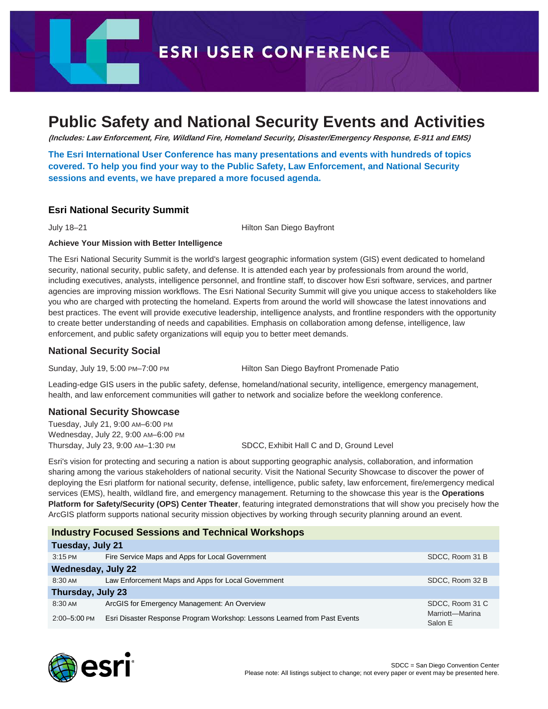**ESRI USER CONFERENCE** 

## **Public Safety and National Security Events and Activities**

**(Includes: Law Enforcement, Fire, Wildland Fire, Homeland Security, Disaster/Emergency Response, E-911 and EMS)**

**The Esri International User Conference has many presentations and events with hundreds of topics covered. To help you find your way to the Public Safety, Law Enforcement, and National Security sessions and events, we have prepared a more focused agenda.**

#### **[Esri National Security Summit](http://www.esri.com/events/national-security)**

July 18–21 Hilton San Diego Bayfront

#### **Achieve Your Mission with Better Intelligence**

The Esri National Security Summit is the world's largest geographic information system (GIS) event dedicated to homeland security, national security, public safety, and defense. It is attended each year by professionals from around the world, including executives, analysts, intelligence personnel, and frontline staff, to discover how Esri software, services, and partner agencies are improving mission workflows. The Esri National Security Summit will give you unique access to stakeholders like you who are charged with protecting the homeland. Experts from around the world will showcase the latest innovations and best practices. The event will provide executive leadership, intelligence analysts, and frontline responders with the opportunity to create better understanding of needs and capabilities. Emphasis on collaboration among defense, intelligence, law enforcement, and public safety organizations will equip you to better meet demands.

#### **National Security Social**

Sunday, July 19, 5:00 PM–7:00 PM Hilton San Diego Bayfront Promenade Patio

Leading-edge GIS users in the public safety, defense, homeland/national security, intelligence, emergency management, health, and law enforcement communities will gather to network and socialize before the weeklong conference.

#### **National Security Showcase**

Tuesday, July 21, 9:00 AM–6:00 PM Wednesday, July 22, 9:00 AM–6:00 PM

Thursday, July 23, 9:00 AM–1:30 PM SDCC, Exhibit Hall C and D, Ground Level

Esri's vision for protecting and securing a nation is about supporting geographic analysis, collaboration, and information sharing among the various stakeholders of national security. Visit the National Security Showcase to discover the power of deploying the Esri platform for national security, defense, intelligence, public safety, law enforcement, fire/emergency medical services (EMS), health, wildland fire, and emergency management. Returning to the showcase this year is the **Operations Platform for Safety/Security (OPS) Center Theater**, featuring integrated demonstrations that will show you precisely how the ArcGIS platform supports national security mission objectives by working through security planning around an event.

|                           | <b>Industry Focused Sessions and Technical Workshops</b>                  |                            |  |
|---------------------------|---------------------------------------------------------------------------|----------------------------|--|
| Tuesday, July 21          |                                                                           |                            |  |
| $3:15 \text{ PM}$         | Fire Service Maps and Apps for Local Government                           | SDCC, Room 31 B            |  |
| <b>Wednesday, July 22</b> |                                                                           |                            |  |
| $8:30 \text{ AM}$         | Law Enforcement Maps and Apps for Local Government                        | SDCC, Room 32 B            |  |
| Thursday, July 23         |                                                                           |                            |  |
| 8:30 AM                   | ArcGIS for Emergency Management: An Overview                              | SDCC, Room 31 C            |  |
| $2:00 - 5:00$ PM          | Esri Disaster Response Program Workshop: Lessons Learned from Past Events | Marriott-Marina<br>Salon E |  |

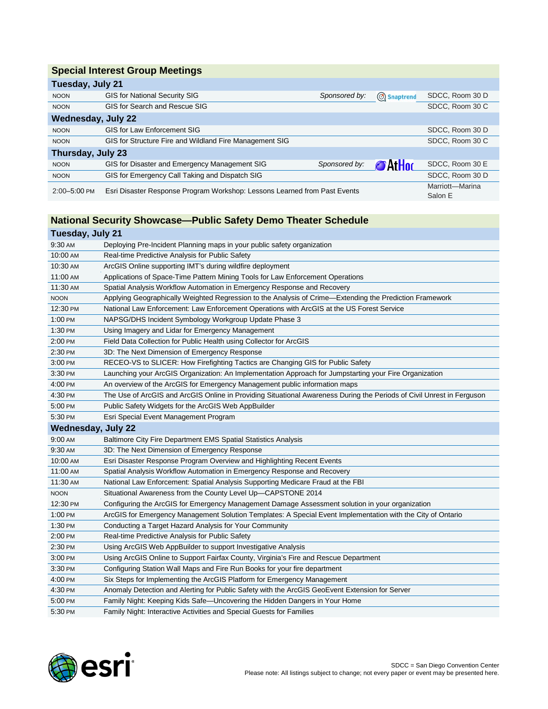## **Special Interest Group Meetings**

| Tuesday, July 21                                                                          |                                                         |               |                            |                 |
|-------------------------------------------------------------------------------------------|---------------------------------------------------------|---------------|----------------------------|-----------------|
| <b>NOON</b>                                                                               | <b>GIS for National Security SIG</b>                    | Sponsored by: | Snaptrend                  | SDCC, Room 30 D |
| <b>NOON</b>                                                                               | GIS for Search and Rescue SIG                           |               |                            | SDCC, Room 30 C |
| <b>Wednesday, July 22</b>                                                                 |                                                         |               |                            |                 |
| <b>NOON</b>                                                                               | <b>GIS for Law Enforcement SIG</b>                      |               |                            | SDCC, Room 30 D |
| <b>NOON</b>                                                                               | GIS for Structure Fire and Wildland Fire Management SIG |               |                            | SDCC, Room 30 C |
| Thursday, July 23                                                                         |                                                         |               |                            |                 |
| <b>NOON</b>                                                                               | GIS for Disaster and Emergency Management SIG           | Sponsored by: | 'At Hoc                    | SDCC, Room 30 E |
| <b>NOON</b>                                                                               | GIS for Emergency Call Taking and Dispatch SIG          |               |                            | SDCC, Room 30 D |
| Esri Disaster Response Program Workshop: Lessons Learned from Past Events<br>2:00-5:00 PM |                                                         |               | Marriott-Marina<br>Salon E |                 |

## **National Security Showcase—Public Safety Demo Theater Schedule**

## **Tuesday, July 21**

| 9:30 AM                   | Deploying Pre-Incident Planning maps in your public safety organization                                               |
|---------------------------|-----------------------------------------------------------------------------------------------------------------------|
| 10:00 AM                  | Real-time Predictive Analysis for Public Safety                                                                       |
| 10:30 AM                  | ArcGIS Online supporting IMT's during wildfire deployment                                                             |
| 11:00 AM                  | Applications of Space-Time Pattern Mining Tools for Law Enforcement Operations                                        |
| 11:30 AM                  | Spatial Analysis Workflow Automation in Emergency Response and Recovery                                               |
| <b>NOON</b>               | Applying Geographically Weighted Regression to the Analysis of Crime-Extending the Prediction Framework               |
| 12:30 PM                  | National Law Enforcement: Law Enforcement Operations with ArcGIS at the US Forest Service                             |
| 1:00 PM                   | NAPSG/DHS Incident Symbology Workgroup Update Phase 3                                                                 |
| 1:30 PM                   | Using Imagery and Lidar for Emergency Management                                                                      |
| 2:00 PM                   | Field Data Collection for Public Health using Collector for ArcGIS                                                    |
| 2:30 PM                   | 3D: The Next Dimension of Emergency Response                                                                          |
| 3:00 PM                   | RECEO-VS to SLICER: How Firefighting Tactics are Changing GIS for Public Safety                                       |
| 3:30 PM                   | Launching your ArcGIS Organization: An Implementation Approach for Jumpstarting your Fire Organization                |
| 4:00 PM                   | An overview of the ArcGIS for Emergency Management public information maps                                            |
| 4:30 PM                   | The Use of ArcGIS and ArcGIS Online in Providing Situational Awareness During the Periods of Civil Unrest in Ferguson |
| 5:00 PM                   | Public Safety Widgets for the ArcGIS Web AppBuilder                                                                   |
| 5:30 PM                   | Esri Special Event Management Program                                                                                 |
| <b>Wednesday, July 22</b> |                                                                                                                       |
| 9:00 AM                   | Baltimore City Fire Department EMS Spatial Statistics Analysis                                                        |
| 9:30 AM                   | 3D: The Next Dimension of Emergency Response                                                                          |
| 10:00 AM                  | Esri Disaster Response Program Overview and Highlighting Recent Events                                                |
| 11:00 AM                  | Spatial Analysis Workflow Automation in Emergency Response and Recovery                                               |
| 11:30 AM                  | National Law Enforcement: Spatial Analysis Supporting Medicare Fraud at the FBI                                       |
| <b>NOON</b>               | Situational Awareness from the County Level Up-CAPSTONE 2014                                                          |
| 12:30 PM                  | Configuring the ArcGIS for Emergency Management Damage Assessment solution in your organization                       |
| 1:00 PM                   | ArcGIS for Emergency Management Solution Templates: A Special Event Implementation with the City of Ontario           |
| 1:30 PM                   | Conducting a Target Hazard Analysis for Your Community                                                                |
| 2:00 PM                   | Real-time Predictive Analysis for Public Safety                                                                       |
| 2:30 PM                   | Using ArcGIS Web AppBuilder to support Investigative Analysis                                                         |
| 3:00 PM                   | Using ArcGIS Online to Support Fairfax County, Virginia's Fire and Rescue Department                                  |
| 3:30 PM                   | Configuring Station Wall Maps and Fire Run Books for your fire department                                             |
| 4:00 PM                   | Six Steps for Implementing the ArcGIS Platform for Emergency Management                                               |
| 4:30 PM                   | Anomaly Detection and Alerting for Public Safety with the ArcGIS GeoEvent Extension for Server                        |
| 5:00 PM                   | Family Night: Keeping Kids Safe-Uncovering the Hidden Dangers in Your Home                                            |
| 5:30 PM                   | Family Night: Interactive Activities and Special Guests for Families                                                  |

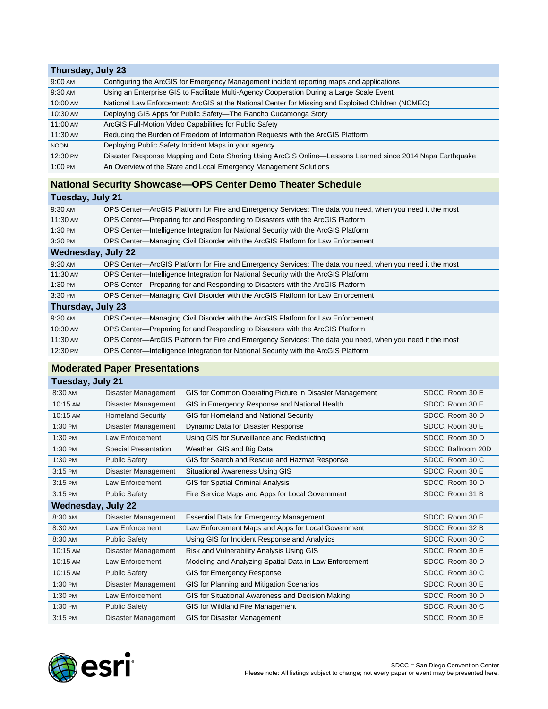#### **Thursday, July 23** 9:00 AM Configuring the ArcGIS for Emergency Management incident reporting maps and applications 9:30 AM Using an Enterprise GIS to Facilitate Multi-Agency Cooperation During a Large Scale Event 10:00 AM National Law Enforcement: ArcGIS at the National Center for Missing and Exploited Children (NCMEC) 10:30 AM Deploying GIS Apps for Public Safety—The Rancho Cucamonga Story 11:00 AM ArcGIS Full-Motion Video Capabilities for Public Safety 11:30 AM Reducing the Burden of Freedom of Information Requests with the ArcGIS Platform NOON Deploying Public Safety Incident Maps in your agency 12:30 PM Disaster Response Mapping and Data Sharing Using ArcGIS Online—Lessons Learned since 2014 Napa Earthquake 1:00 PM An Overview of the State and Local Emergency Management Solutions

## **National Security Showcase—OPS Center Demo Theater Schedule**

#### **Tuesday, July 21**

| 9:30 AM                   | OPS Center—ArcGIS Platform for Fire and Emergency Services: The data you need, when you need it the most |  |  |
|---------------------------|----------------------------------------------------------------------------------------------------------|--|--|
| 11:30 AM                  | OPS Center-Preparing for and Responding to Disasters with the ArcGIS Platform                            |  |  |
| 1:30 PM                   | OPS Center—Intelligence Integration for National Security with the ArcGIS Platform                       |  |  |
| 3:30 PM                   | OPS Center—Managing Civil Disorder with the ArcGIS Platform for Law Enforcement                          |  |  |
| <b>Wednesday, July 22</b> |                                                                                                          |  |  |
| 9:30 AM                   | OPS Center—ArcGIS Platform for Fire and Emergency Services: The data you need, when you need it the most |  |  |
| 11:30 AM                  | OPS Center—Intelligence Integration for National Security with the ArcGIS Platform                       |  |  |
| 1:30 PM                   | OPS Center—Preparing for and Responding to Disasters with the ArcGIS Platform                            |  |  |
| 3:30 PM                   | OPS Center—Managing Civil Disorder with the ArcGIS Platform for Law Enforcement                          |  |  |
| Thursday, July 23         |                                                                                                          |  |  |
| 9:30 AM                   | OPS Center—Managing Civil Disorder with the ArcGIS Platform for Law Enforcement                          |  |  |
| 10:30 AM                  | OPS Center—Preparing for and Responding to Disasters with the ArcGIS Platform                            |  |  |
| 11:30 AM                  | OPS Center—ArcGIS Platform for Fire and Emergency Services: The data you need, when you need it the most |  |  |
| 12:30 PM                  | OPS Center—Intelligence Integration for National Security with the ArcGIS Platform                       |  |  |

### **Moderated Paper Presentations**

| Tuesday, July 21 |  |  |
|------------------|--|--|
|                  |  |  |

| 8:30 AM                   | Disaster Management         | GIS for Common Operating Picture in Disaster Management | SDCC, Room 30 E    |
|---------------------------|-----------------------------|---------------------------------------------------------|--------------------|
| 10:15 AM                  | Disaster Management         | GIS in Emergency Response and National Health           | SDCC, Room 30 E    |
| 10:15 AM                  | <b>Homeland Security</b>    | GIS for Homeland and National Security                  | SDCC, Room 30 D    |
| 1:30 PM                   | Disaster Management         | Dynamic Data for Disaster Response                      | SDCC, Room 30 E    |
| 1:30 PM                   | Law Enforcement             | Using GIS for Surveillance and Redistricting            | SDCC, Room 30 D    |
| 1:30 PM                   | <b>Special Presentation</b> | Weather, GIS and Big Data                               | SDCC, Ballroom 20D |
| 1:30 PM                   | <b>Public Safety</b>        | GIS for Search and Rescue and Hazmat Response           | SDCC, Room 30 C    |
| 3:15 PM                   | Disaster Management         | <b>Situational Awareness Using GIS</b>                  | SDCC, Room 30 E    |
| 3:15 PM                   | Law Enforcement             | <b>GIS for Spatial Criminal Analysis</b>                | SDCC, Room 30 D    |
| 3:15 PM                   | <b>Public Safety</b>        | Fire Service Maps and Apps for Local Government         | SDCC, Room 31 B    |
| <b>Wednesday, July 22</b> |                             |                                                         |                    |
| 8:30 AM                   | Disaster Management         | <b>Essential Data for Emergency Management</b>          | SDCC, Room 30 E    |
| 8:30 AM                   | Law Enforcement             | Law Enforcement Maps and Apps for Local Government      | SDCC, Room 32 B    |
| 8:30 AM                   | <b>Public Safety</b>        | Using GIS for Incident Response and Analytics           | SDCC, Room 30 C    |
| 10:15 AM                  | Disaster Management         | Risk and Vulnerability Analysis Using GIS               | SDCC, Room 30 E    |
| 10:15 AM                  | Law Enforcement             | Modeling and Analyzing Spatial Data in Law Enforcement  | SDCC, Room 30 D    |
| 10:15 AM                  | <b>Public Safety</b>        | GIS for Emergency Response                              | SDCC, Room 30 C    |
| 1:30 PM                   | Disaster Management         | GIS for Planning and Mitigation Scenarios               | SDCC, Room 30 E    |
| 1:30 PM                   | Law Enforcement             | GIS for Situational Awareness and Decision Making       | SDCC, Room 30 D    |
| 1:30 PM                   | <b>Public Safety</b>        | GIS for Wildland Fire Management                        | SDCC, Room 30 C    |
| 3:15 PM                   | Disaster Management         | GIS for Disaster Management                             | SDCC, Room 30 E    |